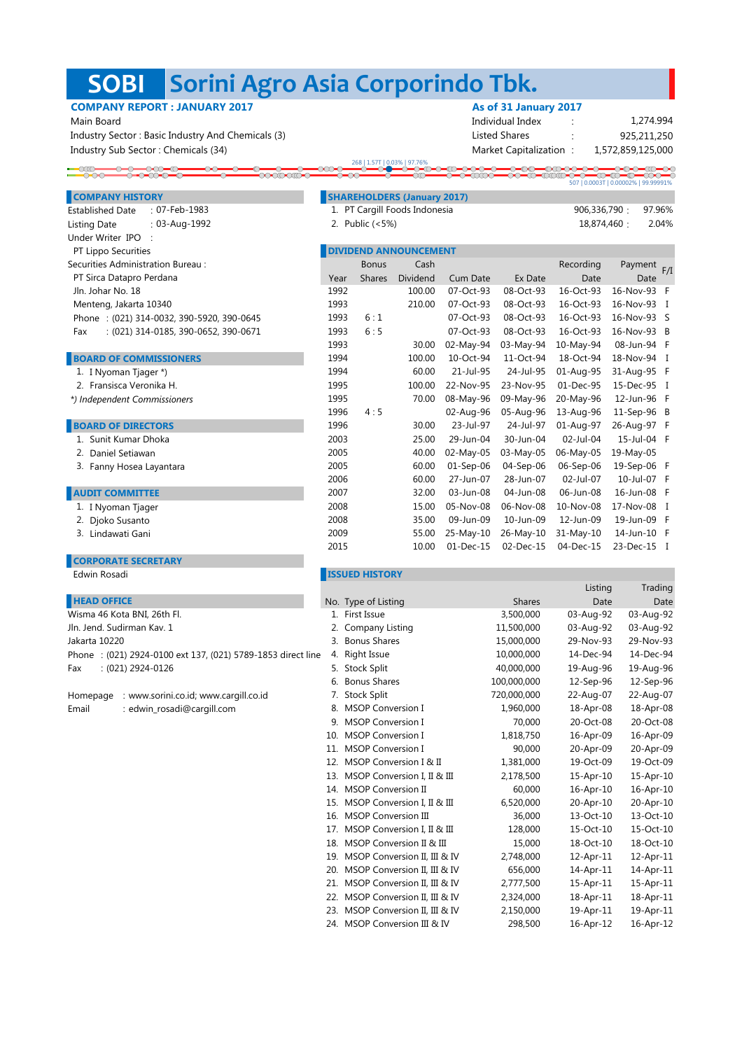## **Sorini Agro Asia Corporindo Tbk. SOBI**

 $\overline{\text{conv}}$ 

# **COMPANY REPORT : JANUARY 2017**

Under Writer IPO : **PT Lippo Securities** 

Securities Administration Bureau :

PT Sirca Datapro Perdana Jln. Johar No. 18

Menteng, Jakarta 10340

**BOARD OF COMMISSIONERS** 1. I Nyoman Tjager \*) 2. Fransisca Veronika H.  *\*) Independent Commissioners*

**BOARD OF DIRECTORS** 1. Sunit Kumar Dhoka 2. Daniel Setiawan 3. Fanny Hosea Layantara

**AUDIT COMMITTEE** 1. I Nyoman Tjager 2. Djoko Susanto 3. Lindawati Gani

**CORPORATE SECRETARY** 

Phone : (021) 314-0032, 390-5920, 390-0645 Fax : (021) 314-0185, 390-0652, 390-0671

| <b>COMPANY REPORT : JANUARY 2017</b>              | As of 31 January 2017  |                   |
|---------------------------------------------------|------------------------|-------------------|
| Main Board                                        | Individual Index       | 1,274.994         |
| Industry Sector: Basic Industry And Chemicals (3) | Listed Shares          | 925.211.250       |
| Industry Sub Sector: Chemicals (34)               | Market Capitalization: | 1,572,859,125,000 |

|  | 268   1.57T   0.03%   97.76% |     |  |
|--|------------------------------|-----|--|
|  |                              | . . |  |
|  |                              |     |  |

507 | 0.0003T | 0.00002% | 99.99991%

| <b>COMPANY HISTORY</b>         | <b>SHAREHOLDERS (January 2017)</b> |                      |
|--------------------------------|------------------------------------|----------------------|
| Established Date : 07-Feb-1983 | 1. PT Cargill Foods Indonesia      | 906.336.790 : 97.96% |
| .                              |                                    | .<br>.               |

| Established Date : 07-Feb-1983 |               | 1. PT Cargill Foods Indonesia | 906,336,790 : 97.96% |       |
|--------------------------------|---------------|-------------------------------|----------------------|-------|
| Listing Date                   | : 03-Aug-1992 | 2. Public (<5%)               | 18.874.460           | 2.04% |

|      | <b>DIVIDEND ANNOUNCEMENT</b> |          |                 |           |           |           |             |  |  |
|------|------------------------------|----------|-----------------|-----------|-----------|-----------|-------------|--|--|
|      | <b>Bonus</b>                 | Cash     |                 |           | Recording | Payment   | F/I         |  |  |
| Year | <b>Shares</b>                | Dividend | <b>Cum Date</b> | Ex Date   | Date      | Date      |             |  |  |
| 1992 |                              | 100.00   | 07-Oct-93       | 08-Oct-93 | 16-Oct-93 | 16-Nov-93 | F           |  |  |
| 1993 |                              | 210.00   | 07-Oct-93       | 08-Oct-93 | 16-Oct-93 | 16-Nov-93 | $\mathbf I$ |  |  |
| 1993 | 6:1                          |          | 07-Oct-93       | 08-Oct-93 | 16-Oct-93 | 16-Nov-93 | S           |  |  |
| 1993 | 6:5                          |          | 07-Oct-93       | 08-Oct-93 | 16-Oct-93 | 16-Nov-93 | B           |  |  |
| 1993 |                              | 30.00    | 02-May-94       | 03-May-94 | 10-May-94 | 08-Jun-94 | F           |  |  |
| 1994 |                              | 100.00   | $10$ -Oct-94    | 11-Oct-94 | 18-Oct-94 | 18-Nov-94 | I           |  |  |
| 1994 |                              | 60.00    | 21-Jul-95       | 24-Jul-95 | 01-Aug-95 | 31-Aug-95 | F           |  |  |
| 1995 |                              | 100.00   | 22-Nov-95       | 23-Nov-95 | 01-Dec-95 | 15-Dec-95 | I           |  |  |
| 1995 |                              | 70.00    | 08-May-96       | 09-May-96 | 20-May-96 | 12-Jun-96 | F           |  |  |
| 1996 | 4:5                          |          | 02-Aug-96       | 05-Aug-96 | 13-Aug-96 | 11-Sep-96 | B           |  |  |
| 1996 |                              | 30.00    | 23-Jul-97       | 24-Jul-97 | 01-Aug-97 | 26-Aug-97 | F           |  |  |
| 2003 |                              | 25.00    | 29-Jun-04       | 30-Jun-04 | 02-Jul-04 | 15-Jul-04 | F           |  |  |
| 2005 |                              | 40.00    | 02-May-05       | 03-May-05 | 06-May-05 | 19-May-05 |             |  |  |
| 2005 |                              | 60.00    | $01-Sep-06$     | 04-Sep-06 | 06-Sep-06 | 19-Sep-06 | F           |  |  |
| 2006 |                              | 60.00    | 27-Jun-07       | 28-Jun-07 | 02-Jul-07 | 10-Jul-07 | F           |  |  |
| 2007 |                              | 32.00    | 03-Jun-08       | 04-Jun-08 | 06-Jun-08 | 16-Jun-08 | F           |  |  |
| 2008 |                              | 15.00    | 05-Nov-08       | 06-Nov-08 | 10-Nov-08 | 17-Nov-08 | I           |  |  |
| 2008 |                              | 35.00    | 09-Jun-09       | 10-Jun-09 | 12-Jun-09 | 19-Jun-09 | F           |  |  |
| 2009 |                              | 55.00    | 25-May-10       | 26-May-10 | 31-May-10 | 14-Jun-10 | F           |  |  |
| 2015 |                              | 10.00    | 01-Dec-15       | 02-Dec-15 | 04-Dec-15 | 23-Dec-15 | I           |  |  |
|      |                              |          |                 |           |           |           |             |  |  |

# **ISSUED HISTORY**<br> **ISSUED HISTORY**

|                                                             |     |                              |               | Listing   | Trading   |
|-------------------------------------------------------------|-----|------------------------------|---------------|-----------|-----------|
| <b>HEAD OFFICE</b>                                          |     | No. Type of Listing          | <b>Shares</b> | Date      | Date      |
| Wisma 46 Kota BNI, 26th Fl.                                 |     | 1. First Issue               | 3,500,000     | 03-Aug-92 | 03-Aug-92 |
| Jln. Jend. Sudirman Kav. 1                                  | 2.  | Company Listing              | 11,500,000    | 03-Aug-92 | 03-Aug-92 |
| Jakarta 10220                                               |     | 3. Bonus Shares              | 15,000,000    | 29-Nov-93 | 29-Nov-93 |
| Phone: (021) 2924-0100 ext 137, (021) 5789-1853 direct line |     | 4. Right Issue               | 10,000,000    | 14-Dec-94 | 14-Dec-94 |
| $: (021)$ 2924-0126<br>Fax                                  |     | 5. Stock Split               | 40,000,000    | 19-Aug-96 | 19-Aug-96 |
|                                                             | 6.  | <b>Bonus Shares</b>          | 100,000,000   | 12-Sep-96 | 12-Sep-96 |
| : www.sorini.co.id; www.cargill.co.id<br>Homepage           |     | 7. Stock Split               | 720,000,000   | 22-Aug-07 | 22-Aug-07 |
| : edwin_rosadi@cargill.com<br>Email                         | 8.  | <b>MSOP Conversion I</b>     | 1,960,000     | 18-Apr-08 | 18-Apr-08 |
|                                                             | 9.  | <b>MSOP Conversion I</b>     | 70,000        | 20-Oct-08 | 20-Oct-08 |
|                                                             | 10. | <b>MSOP Conversion I</b>     | 1,818,750     | 16-Apr-09 | 16-Apr-09 |
|                                                             | 11. | <b>MSOP Conversion I</b>     | 90,000        | 20-Apr-09 | 20-Apr-09 |
|                                                             |     | 12. MSOP Conversion I & II   | 1,381,000     | 19-Oct-09 | 19-Oct-09 |
|                                                             | 13. | MSOP Conversion I, II & III  | 2,178,500     | 15-Apr-10 | 15-Apr-10 |
|                                                             |     | 14. MSOP Conversion II       | 60,000        | 16-Apr-10 | 16-Apr-10 |
|                                                             | 15. | MSOP Conversion I, II & III  | 6,520,000     | 20-Apr-10 | 20-Apr-10 |
|                                                             | 16. | <b>MSOP Conversion III</b>   | 36,000        | 13-Oct-10 | 13-Oct-10 |
|                                                             | 17. | MSOP Conversion I, II & III  | 128,000       | 15-Oct-10 | 15-Oct-10 |
|                                                             | 18. | MSOP Conversion II & III     | 15,000        | 18-Oct-10 | 18-Oct-10 |
|                                                             | 19. | MSOP Conversion II, III & IV | 2,748,000     | 12-Apr-11 | 12-Apr-11 |
|                                                             | 20. | MSOP Conversion II, III & IV | 656,000       | 14-Apr-11 | 14-Apr-11 |
|                                                             | 21. | MSOP Conversion II, III & IV | 2,777,500     | 15-Apr-11 | 15-Apr-11 |
|                                                             | 22. | MSOP Conversion II, III & IV | 2,324,000     | 18-Apr-11 | 18-Apr-11 |
|                                                             | 23. | MSOP Conversion II, III & IV | 2,150,000     | 19-Apr-11 | 19-Apr-11 |
|                                                             |     | 24. MSOP Conversion III & IV | 298,500       | 16-Apr-12 | 16-Apr-12 |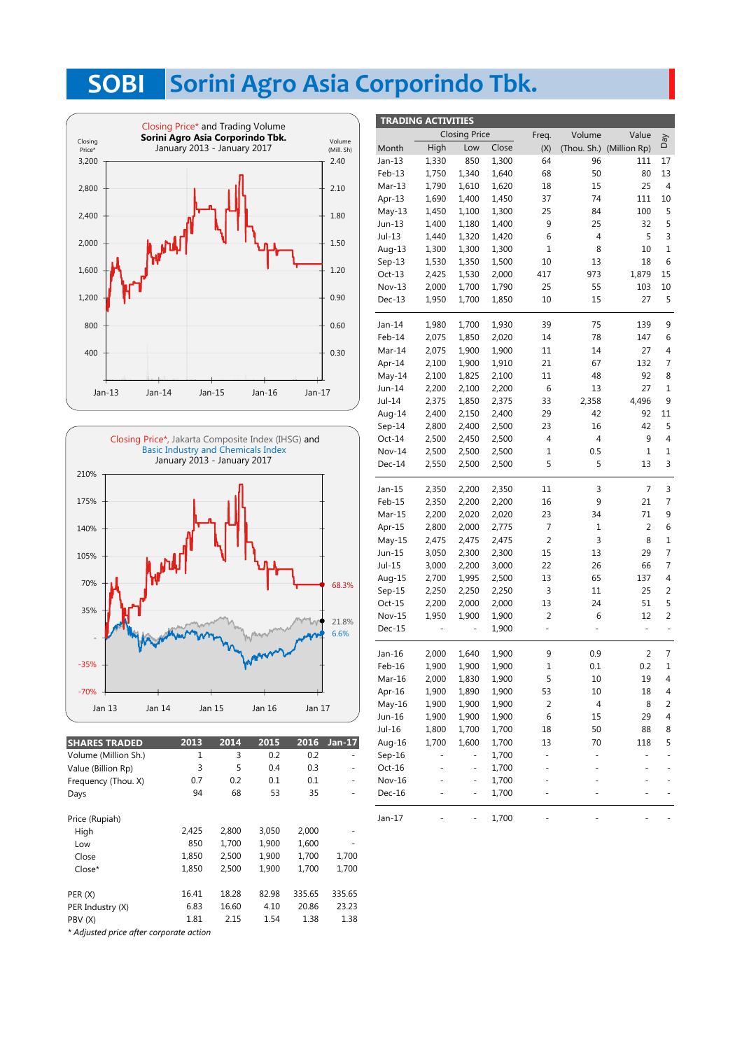## **Sorini Agro Asia Corporindo Tbk. SOBI**

**TRADING ACTIVITIES**





| <b>SHARES TRADED</b> | 2013  | 2014  | 2015  | 2016   | $Jan-17$ |
|----------------------|-------|-------|-------|--------|----------|
| Volume (Million Sh.) | 1     | 3     | 0.2   | 0.2    |          |
| Value (Billion Rp)   | 3     | 5     | 0.4   | 0.3    |          |
| Frequency (Thou. X)  | 0.7   | 0.2   | 0.1   | 0.1    |          |
| Days                 | 94    | 68    | 53    | 35     |          |
| Price (Rupiah)       |       |       |       |        |          |
| High                 | 2,425 | 2.800 | 3,050 | 2,000  |          |
| Low                  | 850   | 1,700 | 1.900 | 1.600  |          |
| Close                | 1,850 | 2,500 | 1,900 | 1,700  | 1,700    |
| Close*               | 1,850 | 2,500 | 1,900 | 1,700  | 1,700    |
| PER (X)              | 16.41 | 18.28 | 82.98 | 335.65 | 335.65   |
| PER Industry (X)     | 6.83  | 16.60 | 4.10  | 20.86  | 23.23    |
| PBV (X)              | 1.81  | 2.15  | 1.54  | 1.38   | 1.38     |
|                      |       |       |       |        |          |

Closing Price Freq. Volume Value Day Aeq 17 13 4 10 5 5 3 1 6 15 10 5 9 6 4 7 8 1 9 High Low Close Month  $(X)$ (Thou. Sh.) (Million Rp) Jan-13 1,330 850 1,300 64 1,300 96 111 17 1,750 1,340 1,640 68 50 13 Feb-13 80 Mar-13 1,790 1,610 1,620 18 15 25 4 Apr-13 1,690 1,400 1,450 37 74 111 10 May-13 1,450 1,100 1,300 25 84 100 5 Jun-13 1,400 1,180 1,400 9 25 32 5 Jul-13 1,440 1,320 6 3 1,420 4 5 Aug-13 1,300 1,300 1,300 1 8 10 1 Sep-13 1,530 1,350 1,500 10 13 18 6 417 973 1,879 Oct-13 2,425 1,530 2,000 15 Nov-13 2,000 1,700 1,790 25 55 103 10 Dec-13 1,950 1,700 1,850 10 15 27 5 Jan-14 1,980 1,700 1,930 39 75 139 9 Feb-14 1,850 2,020 2,075 14 78 147 6 2,075 1,900 1,900 11 14 Mar-14 4 <sub>0.30</sub> | Mar-14 2,075 1,900 1,900 11 14 27 Apr-14 2,100 1,900 1,910 21 67 132 7 48 92 8 2,100 1.825 2.100 11 2,100 May-14 Jun-14 2,200 2,100 2,200 6 13 27 1 2,358  $\mathsf{q}$ Jul-14 2,375 1,850 2,375 33 4,496 Aug-14 2,400 2,150 2,400 29 42 92 11 Sep-14 2,800 2,400 2,500 23 16 42 5 Oct-14 2,500 2,450 2,500 4 4 9 4 2,500 2,500 2,500 1 0.5 1 Nov-14 2,500 2,500 2,500 1 0.5 1 1 Dec-14 2,550 2,500 2,500 5 5 13 3 Jan-15 2,350 2,200 2,350 11 3 7 3 Feb-15 2,350 2,200 2,200 16 9 21 7 2,350 2,200 2,200 16 9 21 Mar-15 9 2,200 2,020 2,020 23 34 71 2,800 Apr-15 2,800 2,000 2,775 7 1 2 6 2,000 2,775 7 1 2 May-15 2,475 2,475 2,475 2 3 8 1 3,050 2,300 2,300 15 13 29 Jun-15 3,050 2,300 2,300 15 13 29 7 Jul-15 7 3,000 2,200 3,000 22 26 66 2,700 1,995 2,500 13 65 137 Aug-15 2,700 1,995 2,500 13 65 137 4 Sep-15 2,250 2,250 3 2,250 2,250 11 25 2 Oct-15 2,200 2,000 2,000 13 24 51 5 2,200 2,000 2,000 13 24 51 Nov-15 1,950 1,900 1,900 2 6 12 2 Dec-15 - - 1,900 - - - - -Jan-16 7 2,000 1,640 1,900 9 0.9 2 Feb-16 1,900 1,900 1,900 1 0.1 0.2 1 1,830 1,900 5 10 19 2,000 Mar-16 2,000 1,830 1,900 5 10 19 4 Apr-16 1,900 1,890 1,900 53 10 18 4 May-16 1,900 1,900 1,900 2 4 8 2 1,900 1,900 8 Jun-16 1,900 1,900 1,900 4 6 15 29 Jul-16 1,800 1,700 1,700 18 50 88 8 1,700 1,600 1,700 13 70 118 5 Aug-16 Sep-16 1,700 - 1,700 Oct-16 - - -  $Nov-16$ - - - - 1,700 - - - 1,700 Dec-16 - - 1,700 - - - - -- - - Jan-17 1,700 - - - - -

*\* Adjusted price after corporate action*